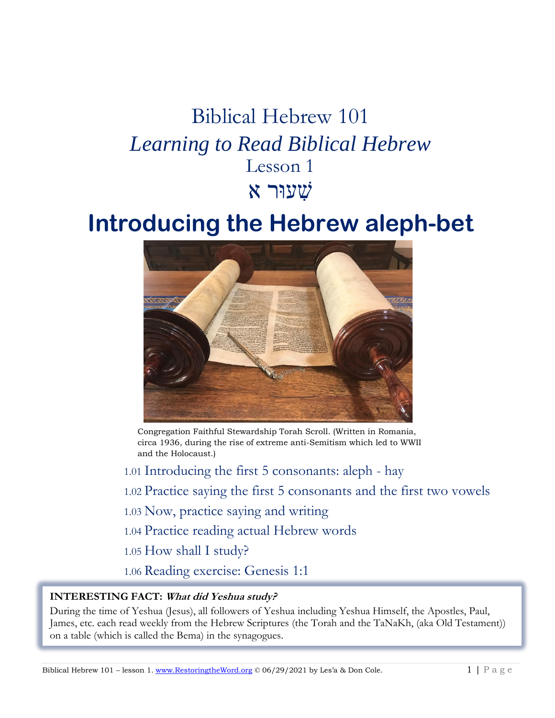# Biblical Hebrew 101 *Learning to Read Biblical Hebrew* Lesson 1 שׁ ִעוּרִאִ

# **Introducing the Hebrew aleph-bet**



Congregation Faithful Stewardship Torah Scroll. (Written in Romania, circa 1936, during the rise of extreme anti-Semitism which led to WWII and the Holocaust.)

1.01 Introducing the first 5 consonants: aleph - hay 1.02 Practice saying the first 5 consonants and the first two vowels 1.03 Now, practice saying and writing 1.04 Practice reading actual Hebrew words 1.05 How shall I study? 1.06 Reading exercise: Genesis 1:1

#### **INTERESTING FACT: What did Yeshua study?**

• During the time of Yeshua (Jesus), all followers of Yeshua including Yeshua Himself, the Apostles, Paul, James, etc. each read weekly from the Hebrew Scriptures (the Torah and the TaNaKh, (aka Old Testament)) on a table (which is called the Bema) in the synagogues.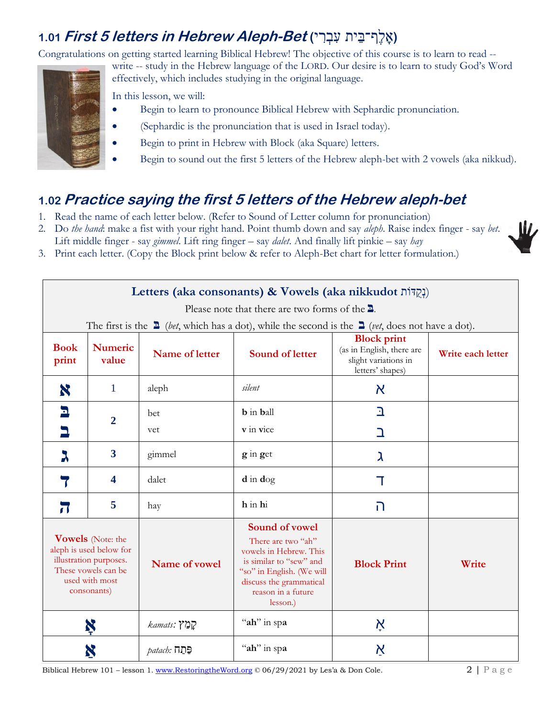## **(אָלֶף־בֵּית עִבְרִי) 1.01** *First 5 letters in Hebrew Aleph-Bet* **(אָלֶף־בֵּית 5**

Congratulations on getting started learning Biblical Hebrew! The objective of this course is to learn to read --



write -- study in the Hebrew language of the LORD. Our desire is to learn to study God's Word effectively, which includes studying in the original language.

In this lesson, we will:

- Begin to learn to pronounce Biblical Hebrew with Sephardic pronunciation.
- (Sephardic is the pronunciation that is used in Israel today).
- Begin to print in Hebrew with Block (aka Square) letters.
- Begin to sound out the first 5 letters of the Hebrew aleph-bet with 2 vowels (aka nikkud).

# **1.02 Practice saying the first 5 letters of the Hebrew aleph-bet**

- 1. Read the name of each letter below. (Refer to Sound of Letter column for pronunciation)
- 2. Do *the hand*: make a fist with your right hand. Point thumb down and say *aleph*. Raise index finger say *bet*.
- Lift middle finger say *gimmel*. Lift ring finger say *dalet*. And finally lift pinkie say *hay*
- 3. Print each letter. (Copy the Block print below & refer to Aleph-Bet chart for letter formulation.)

| Letters (aka consonants) & Vowels (aka nikkudot נְקְדּוֹת)                                                                            |                         |                     |                                                                                                                                                                                     |                                                                                             |                   |  |
|---------------------------------------------------------------------------------------------------------------------------------------|-------------------------|---------------------|-------------------------------------------------------------------------------------------------------------------------------------------------------------------------------------|---------------------------------------------------------------------------------------------|-------------------|--|
| Please note that there are two forms of the $\Delta$ .                                                                                |                         |                     |                                                                                                                                                                                     |                                                                                             |                   |  |
|                                                                                                                                       |                         |                     | The first is the $\Delta$ ( <i>bet</i> , which has a dot), while the second is the $\Delta$ ( <i>vet</i> , does not have a dot).                                                    |                                                                                             |                   |  |
| <b>Book</b><br>print                                                                                                                  | <b>Numeric</b><br>value | Name of letter      | <b>Sound of letter</b>                                                                                                                                                              | <b>Block print</b><br>(as in English, there are<br>slight variations in<br>letters' shapes) | Write each letter |  |
| X                                                                                                                                     | 1                       | aleph               | silent                                                                                                                                                                              | $\aleph$                                                                                    |                   |  |
| $\mathbf{L}$<br>$\overline{2}$                                                                                                        |                         | bet                 | <b>b</b> in <b>b</b> all                                                                                                                                                            | $\mathbf{a}$                                                                                |                   |  |
|                                                                                                                                       |                         | vet                 | v in vice                                                                                                                                                                           | ב                                                                                           |                   |  |
| λ                                                                                                                                     | $\overline{\mathbf{3}}$ | gimmel              | g in get                                                                                                                                                                            | λ                                                                                           |                   |  |
|                                                                                                                                       | 4                       | dalet               | $d$ in $dog$                                                                                                                                                                        | T                                                                                           |                   |  |
| $\overline{\mathbf{u}}$                                                                                                               | 5                       | hay                 | h in hi                                                                                                                                                                             | ה                                                                                           |                   |  |
| <b>Vowels</b> (Note: the<br>aleph is used below for<br>illustration purposes.<br>These vowels can be<br>used with most<br>consonants) |                         | Name of vowel       | Sound of vowel<br>There are two "ah"<br>vowels in Hebrew. This<br>is similar to "sew" and<br>"so" in English. (We will<br>discuss the grammatical<br>reason in a future<br>lesson.) | <b>Block Print</b>                                                                          | Write             |  |
| Ķ                                                                                                                                     |                         | kamats: ?]מַ        | "ah" in spa                                                                                                                                                                         | Ķ                                                                                           |                   |  |
|                                                                                                                                       |                         | <u> patach: תּח</u> | "ah" in spa                                                                                                                                                                         | $\boldsymbol{\kappa}$                                                                       |                   |  |

Biblical Hebrew 101 – lesson 1. [www.RestoringtheWord.org](http://www.restoringtheword.org/) © 06/29/2021 by Les'a & Don Cole. 2 | P a g e

- W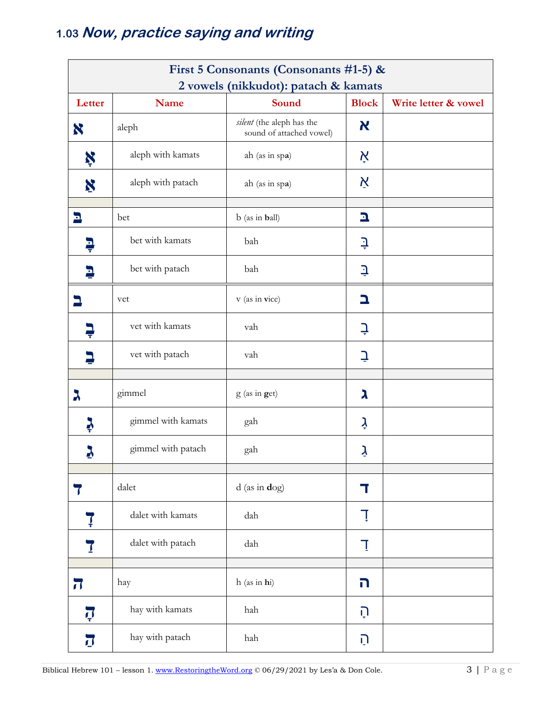# 1.03 Now, practice saying and writing

|                         | First 5 Consonants (Consonants #1-5) & |                                                       |              |                      |  |  |
|-------------------------|----------------------------------------|-------------------------------------------------------|--------------|----------------------|--|--|
| Letter                  | Name                                   | 2 vowels (nikkudot): patach & kamats<br>Sound         | <b>Block</b> | Write letter & vowel |  |  |
| X                       | aleph                                  | silent (the aleph has the<br>sound of attached vowel) | K            |                      |  |  |
| Ķ                       | aleph with kamats                      | ah (as in spa)                                        | אָ           |                      |  |  |
| X                       | aleph with patach                      | ah (as in spa)                                        | Ķ            |                      |  |  |
| Ŀ                       | bet                                    | b (as in ball)                                        | 그            |                      |  |  |
| ļ                       | bet with kamats                        | bah                                                   | ₽            |                      |  |  |
| Е                       | bet with patach                        | bah                                                   | ₹            |                      |  |  |
|                         | vet                                    | v (as in vice)                                        | ב            |                      |  |  |
|                         | vet with kamats                        | vah                                                   | Ļ            |                      |  |  |
|                         | vet with patach                        | vah                                                   | ⊇            |                      |  |  |
| λ                       | gimmel                                 | g (as in get)                                         | ג            |                      |  |  |
| Ş                       | gimmel with kamats                     | gah                                                   | ļ            |                      |  |  |
|                         | gimmel with patach                     | gah                                                   | ý            |                      |  |  |
| $\overline{\mathbf{r}}$ | dalet                                  | $d$ (as in $d$ og)                                    | T            |                      |  |  |
| Ţ                       | dalet with kamats                      | dah                                                   | Ţ            |                      |  |  |
| 7                       | dalet with patach                      | dah                                                   | Ţ            |                      |  |  |
| $\overline{\mathbf{J}}$ | hay                                    | h (as in hi)                                          | ה            |                      |  |  |
| Ţ                       | hay with kamats                        | hah                                                   | ָהָ          |                      |  |  |
| $\overline{J}$          | hay with patach                        | hah                                                   | הַ           |                      |  |  |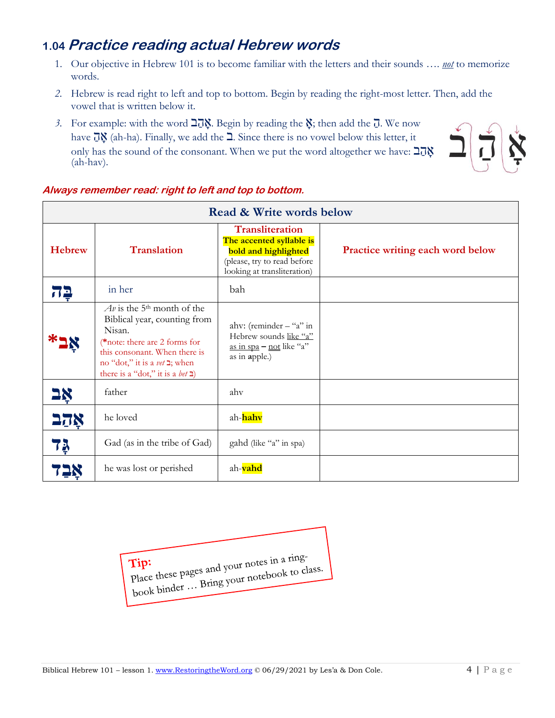## **1.04 Practice reading actual Hebrew words**

- 1. Our objective in Hebrew 101 is to become familiar with the letters and their sounds …. *not* to memorize words.
- *2.* Hebrew is read right to left and top to bottom. Begin by reading the right-most letter. Then, add the vowel that is written below it.
- *3.* For example: with the word  $\overline{2}$  $\overline{0}$ . Begin by reading the  $\overline{y}$ ; then add the  $\overline{0}$ . We now have  $\vec{u}$  (ah-ha). Finally, we add the  $\Delta$ . Since there is no vowel below this letter, it only has the sound of the consonant. When we put the word altogether we have: אֲהַב (ah-hav).



| <b>Read &amp; Write words below</b> |                                                                                                                                                                                                                                                         |                                                                                                                                                 |                                         |  |  |  |
|-------------------------------------|---------------------------------------------------------------------------------------------------------------------------------------------------------------------------------------------------------------------------------------------------------|-------------------------------------------------------------------------------------------------------------------------------------------------|-----------------------------------------|--|--|--|
| <b>Hebrew</b>                       | <b>Translation</b>                                                                                                                                                                                                                                      | <b>Transliteration</b><br>The accented syllable is<br><b>bold and highlighted</b><br>(please, try to read before<br>looking at transliteration) | <b>Practice writing each word below</b> |  |  |  |
| 72                                  | in her                                                                                                                                                                                                                                                  | bah                                                                                                                                             |                                         |  |  |  |
|                                     | $Av$ is the 5 <sup>th</sup> month of the<br>Biblical year, counting from<br>Nisan.<br>*note: there are 2 forms for<br>this consonant. When there is<br>no "dot," it is a <i>vet</i> <b>⊒</b> ; when<br>there is a "dot," it is a <i>bet</i> $\exists$ ) | ahv: (reminder $-$ "a" in<br>Hebrew sounds like "a"<br>as in spa $-$ not like "a"<br>as in apple.)                                              |                                         |  |  |  |
| 2 <u>x</u>                          | father                                                                                                                                                                                                                                                  | ahy                                                                                                                                             |                                         |  |  |  |
| אקב                                 | he loved                                                                                                                                                                                                                                                | ah-hahv                                                                                                                                         |                                         |  |  |  |
| 73                                  | Gad (as in the tribe of Gad)                                                                                                                                                                                                                            | gahd (like "a" in spa)                                                                                                                          |                                         |  |  |  |
|                                     | he was lost or perished                                                                                                                                                                                                                                 | ah-vahd                                                                                                                                         |                                         |  |  |  |

### **Always remember read: right to left and top to bottom.**

Tip:<br>Place these pages and your notes in a ring-<br>Bring your notebook to ch Tip:<br>Place these pages and your notes in a line<br>book binder ... Bring your notebook to class.